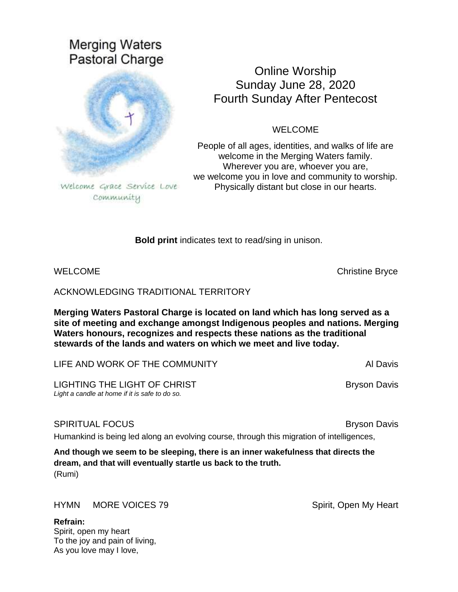# **Merging Waters** Pastoral Charge



Welcome Grace Service Love Community

# Online Worship Sunday June 28, 2020 Fourth Sunday After Pentecost

# WELCOME

People of all ages, identities, and walks of life are welcome in the Merging Waters family. Wherever you are, whoever you are, we welcome you in love and community to worship. Physically distant but close in our hearts.

**Bold print** indicates text to read/sing in unison.

WELCOME **Christian Bryce** Christian Bryce **Christian Bryce** 

ACKNOWLEDGING TRADITIONAL TERRITORY

**Merging Waters Pastoral Charge is located on land which has long served as a site of meeting and exchange amongst Indigenous peoples and nations. Merging Waters honours, recognizes and respects these nations as the traditional stewards of the lands and waters on which we meet and live today.**

LIFE AND WORK OF THE COMMUNITY **ALL AUTOMATION** AL Davis

LIGHTING THE LIGHT OF CHRIST **BRYSON DAVIS** Bryson Davis *Light a candle at home if it is safe to do so.*

# SPIRITUAL FOCUS **BRITTUAL FOCUS**

Humankind is being led along an evolving course, through this migration of intelligences,

**And though we seem to be sleeping, there is an inner wakefulness that directs the dream, and that will eventually startle us back to the truth.** (Rumi)

HYMN MORE VOICES 79 Spirit, Open My Heart

**Refrain:** Spirit, open my heart To the joy and pain of living, As you love may I love,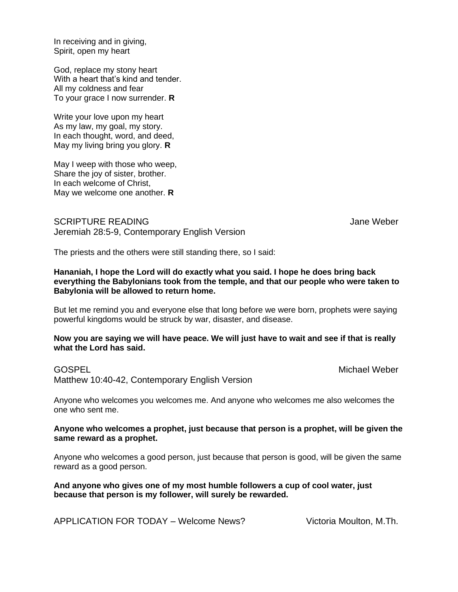In receiving and in giving, Spirit, open my heart

God, replace my stony heart With a heart that's kind and tender. All my coldness and fear To your grace I now surrender. **R**

Write your love upon my heart As my law, my goal, my story. In each thought, word, and deed, May my living bring you glory. **R**

May I weep with those who weep, Share the joy of sister, brother. In each welcome of Christ, May we welcome one another. **R**

SCRIPTURE READING **SCRIPTURE READING** Jeremiah 28:5-9, Contemporary English Version

The priests and the others were still standing there, so I said:

### **Hananiah, I hope the Lord will do exactly what you said. I hope he does bring back everything the Babylonians took from the temple, and that our people who were taken to Babylonia will be allowed to return home.**

But let me remind you and everyone else that long before we were born, prophets were saying powerful kingdoms would be struck by war, disaster, and disease.

#### **Now you are saying we will have peace. We will just have to wait and see if that is really what the Lord has said.**

Matthew 10:40-42, Contemporary English Version

GOSPEL **GOSPE** 

Anyone who welcomes you welcomes me. And anyone who welcomes me also welcomes the one who sent me.

### **Anyone who welcomes a prophet, just because that person is a prophet, will be given the same reward as a prophet.**

Anyone who welcomes a good person, just because that person is good, will be given the same reward as a good person.

**And anyone who gives one of my most humble followers a cup of cool water, just because that person is my follower, will surely be rewarded.**

APPLICATION FOR TODAY – Welcome News? Victoria Moulton, M.Th.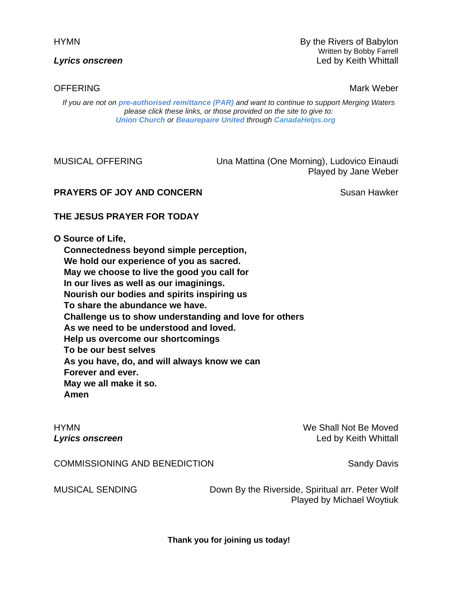HYMN By the Rivers of Babylon Written by Bobby Farrell **Lyrics onscreen** Led by Keith Whittall Led by Keith Whittall

OFFERING Mark Weber New York Website Structure and Mark Weber New York Website Structure and Mark Website Structure and Mark Website Structure and Mark Website Structure and Mark Website Structure and Mark Website Structur

*If you are not on pre-authorised [remittance \(PAR\)](http://mergingwaters.ca/mt-content/uploads/2020/03/form_par-authorization.pdf) and want to continue to support Merging Waters please click these links, or those provided on the site to give to: [Union Church](https://www.canadahelps.org/en/charities/union-church-ste-anne-de-bellevue/) or [Beaurepaire United](https://www.canadahelps.org/en/charities/beaurepaire-united-church/) through [CanadaHelps.org](http://www.canadahelps.org/)* 

MUSICAL OFFERING Una Mattina (One Morning), Ludovico Einaudi Played by Jane Weber

# **PRAYERS OF JOY AND CONCERN SUSAN BUSIC SUSAN HAWKER**

# **THE JESUS PRAYER FOR TODAY**

**O Source of Life,**

**Connectedness beyond simple perception, We hold our experience of you as sacred. May we choose to live the good you call for In our lives as well as our imaginings. Nourish our bodies and spirits inspiring us To share the abundance we have. Challenge us to show understanding and love for others As we need to be understood and loved. Help us overcome our shortcomings To be our best selves As you have, do, and will always know we can Forever and ever. May we all make it so. Amen**

HYMN We Shall Not Be Moved **Lyrics onscreen** Led by Keith Whittall Led by Keith Whittall

COMMISSIONING AND BENEDICTION Sandy Davis

MUSICAL SENDING Down By the Riverside, Spiritual arr. Peter Wolf Played by Michael Woytiuk

**Thank you for joining us today!**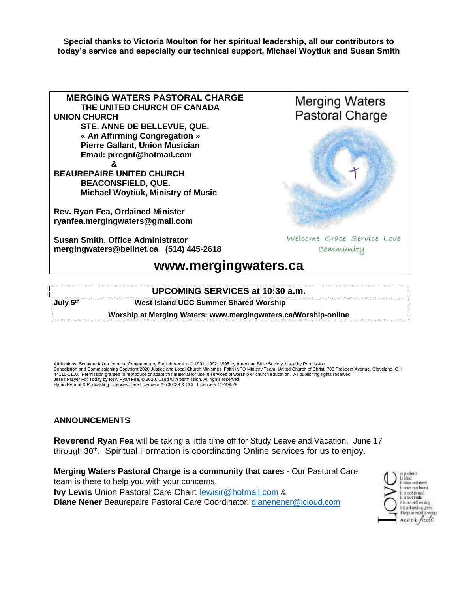**Special thanks to Victoria Moulton for her spiritual leadership, all our contributors to today's service and especially our technical support, Michael Woytiuk and Susan Smith**



## **UPCOMING SERVICES at 10:30 a.m. July 5th West Island UCC Summer Shared Worship Worship at Merging Waters: [www.mergingwaters.ca/Worship-online](http://www.mergingwaters.ca/Worship-online)**

Attributions: Scripture taken from the Contemporary English Version © 1991, 1992, 1995 by American Bible Society, Used by Permission. Benediction and Commissioning Copyright 2020 Justice and Local Church Ministries, Faith INFO Ministry Team, United Church of Christ, 700 Prospect Avenue, Cleveland, OH 44115-1100. Permission granted to reproduce or adapt this material for use in services of worship or church education. All publishing rights reserved Jesus Prayer For Today by Rev. Ryan Fea, © 2020. Used with permission. All rights reserved. Hymn Reprint & Podcasting Licences: One Licence # A-730039 & CCLI Licence # 11249529

# **ANNOUNCEMENTS**

**Reverend Ryan Fea** will be taking a little time off for Study Leave and Vacation. June 17 through 30<sup>th</sup>. Spiritual Formation is coordinating Online services for us to enjoy.

**Merging Waters Pastoral Charge is a community that cares -** Our Pastoral Care team is there to help you with your concerns. **Ivy Lewis** Union Pastoral Care Chair: [lewisir@hotmail.com](mailto:lewisir@hotmail.com) & **Diane Nener** Beaurepaire Pastoral Care Coordinator: [dianenener@icloud.com](mailto:dianenener@icloud.com)

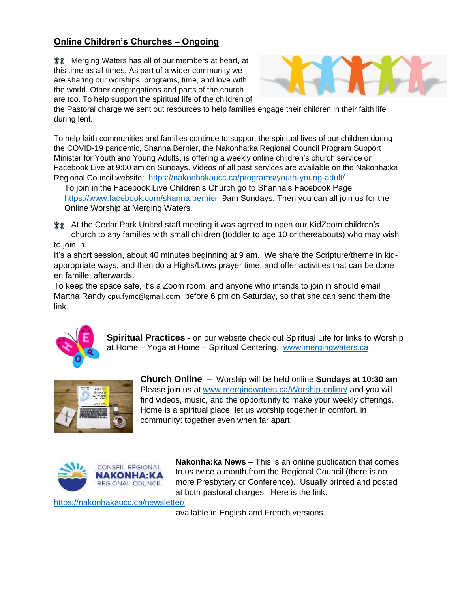# **Online Children's Churches – Ongoing**

**WE** Merging Waters has all of our members at heart, at this time as all times. As part of a wider community we are sharing our worships, programs, time, and love with the world. Other congregations and parts of the church are too. To help support the spiritual life of the children of



the Pastoral charge we sent out resources to help families engage their children in their faith life during lent.

To help faith communities and families continue to support the spiritual lives of our children during the COVID-19 pandemic, Shanna Bernier, the Nakonha:ka Regional Council Program Support Minister for Youth and Young Adults, is offering a weekly online children's church service on Facebook Live at 9:00 am on Sundays. Videos of all past services are available on the Nakonha:ka Regional Council website: <https://nakonhakaucc.ca/programs/youth-young-adult/>

To join in the Facebook Live Children's Church go to Shanna's Facebook Page <https://www.facebook.com/shanna.bernier>9am Sundays. Then you can all join us for the Online Worship at Merging Waters.

At the Cedar Park United staff meeting it was agreed to open our KidZoom children's church to any families with small children (toddler to age 10 or thereabouts) who may wish to join in.

It's a short session, about 40 minutes beginning at 9 am. We share the Scripture/theme in kidappropriate ways, and then do a Highs/Lows prayer time, and offer activities that can be done en famille, afterwards.

To keep the space safe, it's a Zoom room, and anyone who intends to join in should email Martha Randy [cpu.fymc@gmail.com](mailto:cpu.fymc@gmail.com) before 6 pm on Saturday, so that she can send them the link.



**Spiritual Practices -** on our website check out Spiritual Life for links to Worship at Home – Yoga at Home – Spiritual Centering. [www.mergingwaters.ca](http://www.mergingwaters.ca/)



**Church Online –** Worship will be held online **Sundays at 10:30 am** Please join us at [www.mergingwaters.ca/Worship-online/](http://www.mergingwaters.ca/Worship-online/) and you will find videos, music, and the opportunity to make your weekly offerings. Home is a spiritual place, let us worship together in comfort, in community; together even when far apart.



**Nakonha:ka News –** This is an online publication that comes to us twice a month from the Regional Council (there is no more Presbytery or Conference). Usually printed and posted at both pastoral charges. Here is the link:

<https://nakonhakaucc.ca/newsletter/>

available in English and French versions.